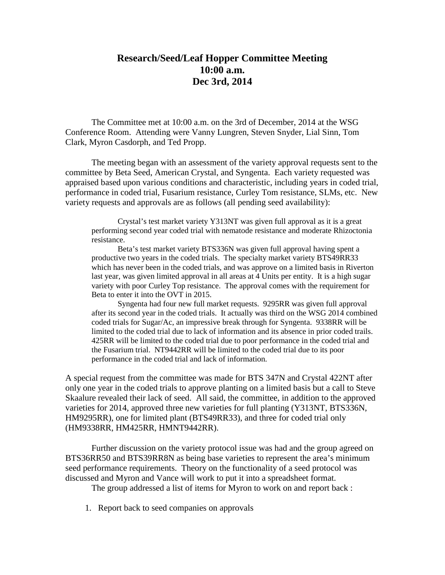## **Research/Seed/Leaf Hopper Committee Meeting 10:00 a.m. Dec 3rd, 2014**

The Committee met at 10:00 a.m. on the 3rd of December, 2014 at the WSG Conference Room. Attending were Vanny Lungren, Steven Snyder, Lial Sinn, Tom Clark, Myron Casdorph, and Ted Propp.

The meeting began with an assessment of the variety approval requests sent to the committee by Beta Seed, American Crystal, and Syngenta. Each variety requested was appraised based upon various conditions and characteristic, including years in coded trial, performance in coded trial, Fusarium resistance, Curley Tom resistance, SLMs, etc. New variety requests and approvals are as follows (all pending seed availability):

 Crystal's test market variety Y313NT was given full approval as it is a great performing second year coded trial with nematode resistance and moderate Rhizoctonia resistance.

Beta's test market variety BTS336N was given full approval having spent a productive two years in the coded trials. The specialty market variety BTS49RR33 which has never been in the coded trials, and was approve on a limited basis in Riverton last year, was given limited approval in all areas at 4 Units per entity. It is a high sugar variety with poor Curley Top resistance. The approval comes with the requirement for Beta to enter it into the OVT in 2015.

Syngenta had four new full market requests. 9295RR was given full approval after its second year in the coded trials. It actually was third on the WSG 2014 combined coded trials for Sugar/Ac, an impressive break through for Syngenta. 9338RR will be limited to the coded trial due to lack of information and its absence in prior coded trails. 425RR will be limited to the coded trial due to poor performance in the coded trial and the Fusarium trial. NT9442RR will be limited to the coded trial due to its poor performance in the coded trial and lack of information.

A special request from the committee was made for BTS 347N and Crystal 422NT after only one year in the coded trials to approve planting on a limited basis but a call to Steve Skaalure revealed their lack of seed. All said, the committee, in addition to the approved varieties for 2014, approved three new varieties for full planting (Y313NT, BTS336N, HM9295RR), one for limited plant (BTS49RR33), and three for coded trial only (HM9338RR, HM425RR, HMNT9442RR).

Further discussion on the variety protocol issue was had and the group agreed on BTS36RR50 and BTS39RR8N as being base varieties to represent the area's minimum seed performance requirements. Theory on the functionality of a seed protocol was discussed and Myron and Vance will work to put it into a spreadsheet format.

The group addressed a list of items for Myron to work on and report back :

1. Report back to seed companies on approvals